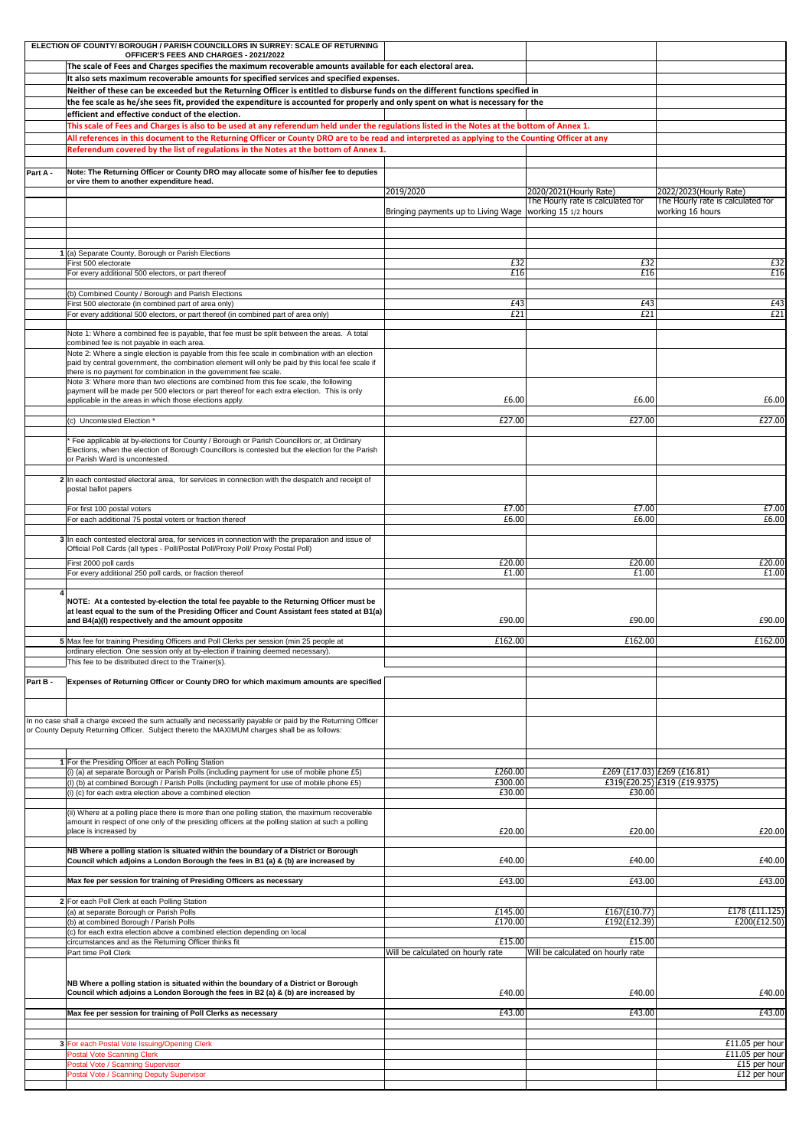|          | ELECTION OF COUNTY/BOROUGH/PARISH COUNCILLORS IN SURREY: SCALE OF RETURNING<br>OFFICER'S FEES AND CHARGES - 2021/2022                                                                                                                    |                                                            |                                                             |                                                             |  |  |  |
|----------|------------------------------------------------------------------------------------------------------------------------------------------------------------------------------------------------------------------------------------------|------------------------------------------------------------|-------------------------------------------------------------|-------------------------------------------------------------|--|--|--|
|          | The scale of Fees and Charges specifies the maximum recoverable amounts available for each electoral area.                                                                                                                               |                                                            |                                                             |                                                             |  |  |  |
|          | It also sets maximum recoverable amounts for specified services and specified expenses.<br>Neither of these can be exceeded but the Returning Officer is entitled to disburse funds on the different functions specified in              |                                                            |                                                             |                                                             |  |  |  |
|          | the fee scale as he/she sees fit, provided the expenditure is accounted for properly and only spent on what is necessary for the                                                                                                         |                                                            |                                                             |                                                             |  |  |  |
|          | efficient and effective conduct of the election.                                                                                                                                                                                         |                                                            |                                                             |                                                             |  |  |  |
|          | This scale of Fees and Charges is also to be used at any referendum held under the regulations listed in the Notes at the bottom of Annex 1.                                                                                             |                                                            |                                                             |                                                             |  |  |  |
|          | All references in this document to the Returning Officer or County DRO are to be read and interpreted as applying to the Counting Officer at any<br>Referendum covered by the list of regulations in the Notes at the bottom of Annex 1. |                                                            |                                                             |                                                             |  |  |  |
|          |                                                                                                                                                                                                                                          |                                                            |                                                             |                                                             |  |  |  |
| Part A - | Note: The Returning Officer or County DRO may allocate some of his/her fee to deputies<br>or vire them to another expenditure head.                                                                                                      |                                                            |                                                             |                                                             |  |  |  |
|          |                                                                                                                                                                                                                                          | 2019/2020                                                  | 2020/2021(Hourly Rate)<br>The Hourly rate is calculated for | 2022/2023(Hourly Rate)<br>The Hourly rate is calculated for |  |  |  |
|          |                                                                                                                                                                                                                                          | Bringing payments up to Living Wage   working 15 1/2 hours |                                                             | working 16 hours                                            |  |  |  |
|          |                                                                                                                                                                                                                                          |                                                            |                                                             |                                                             |  |  |  |
|          |                                                                                                                                                                                                                                          |                                                            |                                                             |                                                             |  |  |  |
|          | $1$ (a) Separate County, Borough or Parish Elections<br>First 500 electorate                                                                                                                                                             | £32                                                        | £32                                                         | £32                                                         |  |  |  |
|          | For every additional 500 electors, or part thereof                                                                                                                                                                                       | £16                                                        | £16                                                         | £16                                                         |  |  |  |
|          | (b) Combined County / Borough and Parish Elections                                                                                                                                                                                       |                                                            |                                                             |                                                             |  |  |  |
|          | First 500 electorate (in combined part of area only)<br>For every additional 500 electors, or part thereof (in combined part of area only)                                                                                               | £43<br>E21                                                 | £43<br>E21                                                  | E43<br>E21                                                  |  |  |  |
|          |                                                                                                                                                                                                                                          |                                                            |                                                             |                                                             |  |  |  |
|          | Note 1: Where a combined fee is payable, that fee must be split between the areas. A total<br>combined fee is not payable in each area.                                                                                                  |                                                            |                                                             |                                                             |  |  |  |
|          | Note 2: Where a single election is payable from this fee scale in combination with an election<br>paid by central government, the combination element will only be paid by this local fee scale if                                       |                                                            |                                                             |                                                             |  |  |  |
|          | there is no payment for combination in the government fee scale.<br>Note 3: Where more than two elections are combined from this fee scale, the following                                                                                |                                                            |                                                             |                                                             |  |  |  |
|          | payment will be made per 500 electors or part thereof for each extra election. This is only                                                                                                                                              |                                                            |                                                             |                                                             |  |  |  |
|          | applicable in the areas in which those elections apply.                                                                                                                                                                                  | £6.00                                                      | £6.00                                                       | £6.00                                                       |  |  |  |
|          | (c) Uncontested Election *                                                                                                                                                                                                               | £27.00                                                     | £27.00                                                      | £27.00                                                      |  |  |  |
|          | Fee applicable at by-elections for County / Borough or Parish Councillors or, at Ordinary                                                                                                                                                |                                                            |                                                             |                                                             |  |  |  |
|          | Elections, when the election of Borough Councillors is contested but the election for the Parish<br>or Parish Ward is uncontested.                                                                                                       |                                                            |                                                             |                                                             |  |  |  |
|          |                                                                                                                                                                                                                                          |                                                            |                                                             |                                                             |  |  |  |
|          | 2 In each contested electoral area, for services in connection with the despatch and receipt of<br>postal ballot papers                                                                                                                  |                                                            |                                                             |                                                             |  |  |  |
|          | For first 100 postal voters                                                                                                                                                                                                              | £7.00                                                      | £7.00                                                       | £7.00                                                       |  |  |  |
|          | For each additional 75 postal voters or fraction thereof                                                                                                                                                                                 | £6.00                                                      | £6.00                                                       | £6.00                                                       |  |  |  |
|          | 3 In each contested electoral area, for services in connection with the preparation and issue of                                                                                                                                         |                                                            |                                                             |                                                             |  |  |  |
|          | Official Poll Cards (all types - Poll/Postal Poll/Proxy Poll/ Proxy Postal Poll)                                                                                                                                                         |                                                            |                                                             |                                                             |  |  |  |
|          | First 2000 poll cards<br>For every additional 250 poll cards, or fraction thereof                                                                                                                                                        | £20.00<br>£1.00                                            | £20.00<br>£1.00                                             | £20.00<br>£1.00                                             |  |  |  |
|          |                                                                                                                                                                                                                                          |                                                            |                                                             |                                                             |  |  |  |
|          | NOTE: At a contested by-election the total fee payable to the Returning Officer must be                                                                                                                                                  |                                                            |                                                             |                                                             |  |  |  |
|          | at least equal to the sum of the Presiding Officer and Count Assistant fees stated at B1(a)<br>and B4(a)(I) respectively and the amount opposite                                                                                         | £90.00                                                     | £90.00                                                      | £90.00                                                      |  |  |  |
|          |                                                                                                                                                                                                                                          | £162.00                                                    | £162.00                                                     | £162.00                                                     |  |  |  |
|          | 5 Max fee for training Presiding Officers and Poll Clerks per session (min 25 people at<br>ordinary election. One session only at by-election if training deemed necessary).                                                             |                                                            |                                                             |                                                             |  |  |  |
|          | This fee to be distributed direct to the Trainer(s).                                                                                                                                                                                     |                                                            |                                                             |                                                             |  |  |  |
| Part B - | Expenses of Returning Officer or County DRO for which maximum amounts are specified                                                                                                                                                      |                                                            |                                                             |                                                             |  |  |  |
|          |                                                                                                                                                                                                                                          |                                                            |                                                             |                                                             |  |  |  |
|          | In no case shall a charge exceed the sum actually and necessarily payable or paid by the Returning Officer                                                                                                                               |                                                            |                                                             |                                                             |  |  |  |
|          | or County Deputy Returning Officer. Subject thereto the MAXIMUM charges shall be as follows:                                                                                                                                             |                                                            |                                                             |                                                             |  |  |  |
|          |                                                                                                                                                                                                                                          |                                                            |                                                             |                                                             |  |  |  |
|          | 1 For the Presiding Officer at each Polling Station<br>(i) (a) at separate Borough or Parish Polls (including payment for use of mobile phone £5)                                                                                        | £260.00                                                    |                                                             |                                                             |  |  |  |
|          | (I) (b) at combined Borough / Parish Polls (including payment for use of mobile phone £5)                                                                                                                                                | £300.00                                                    |                                                             | £269 (£17.03) £269 (£16.81)<br>£319(£20.25) £319 (£19.9375) |  |  |  |
|          | (i) (c) for each extra election above a combined election                                                                                                                                                                                | £30.00                                                     | £30.00                                                      |                                                             |  |  |  |
|          | (ii) Where at a polling place there is more than one polling station, the maximum recoverable                                                                                                                                            |                                                            |                                                             |                                                             |  |  |  |
|          | amount in respect of one only of the presiding officers at the polling station at such a polling<br>place is increased by                                                                                                                | £20.00                                                     | £20.00                                                      | £20.00                                                      |  |  |  |
|          | NB Where a polling station is situated within the boundary of a District or Borough                                                                                                                                                      |                                                            |                                                             |                                                             |  |  |  |
|          | Council which adjoins a London Borough the fees in B1 (a) & (b) are increased by                                                                                                                                                         | £40.00                                                     | £40.00                                                      | £40.00                                                      |  |  |  |
|          | Max fee per session for training of Presiding Officers as necessary                                                                                                                                                                      | £43.00                                                     | £43.00                                                      | £43.00                                                      |  |  |  |
|          | 2 For each Poll Clerk at each Polling Station                                                                                                                                                                                            |                                                            |                                                             |                                                             |  |  |  |
|          | (a) at separate Borough or Parish Polls                                                                                                                                                                                                  | £145.00                                                    | £167(£10.77)                                                | E178(E11.125)                                               |  |  |  |
|          | (b) at combined Borough / Parish Polls<br>(c) for each extra election above a combined election depending on local                                                                                                                       | £170.00                                                    | £192(£12.39)                                                | E200(E12.50)                                                |  |  |  |
|          | circumstances and as the Returning Officer thinks fit<br>Part time Poll Clerk                                                                                                                                                            | £15.00<br>Will be calculated on hourly rate                | £15.00<br>Will be calculated on hourly rate                 |                                                             |  |  |  |
|          |                                                                                                                                                                                                                                          |                                                            |                                                             |                                                             |  |  |  |
|          | NB Where a polling station is situated within the boundary of a District or Borough                                                                                                                                                      |                                                            |                                                             |                                                             |  |  |  |
|          | Council which adjoins a London Borough the fees in B2 (a) & (b) are increased by                                                                                                                                                         | £40.00                                                     | £40.00                                                      | £40.00                                                      |  |  |  |
|          | Max fee per session for training of Poll Clerks as necessary                                                                                                                                                                             | £43.00                                                     | £43.00                                                      | £43.00                                                      |  |  |  |
|          |                                                                                                                                                                                                                                          |                                                            |                                                             |                                                             |  |  |  |
|          | 3 For each Postal Vote Issuing/Opening Clerk                                                                                                                                                                                             |                                                            |                                                             | £11.05 per hour                                             |  |  |  |
|          | <b>Postal Vote Scanning Clerk</b><br>Postal Vote / Scanning Supervisor                                                                                                                                                                   |                                                            |                                                             | £11.05 per hour<br>£15 per hour                             |  |  |  |
|          | Postal Vote / Scanning Deputy Supervisor                                                                                                                                                                                                 |                                                            |                                                             | £12 per hour                                                |  |  |  |
|          |                                                                                                                                                                                                                                          |                                                            |                                                             |                                                             |  |  |  |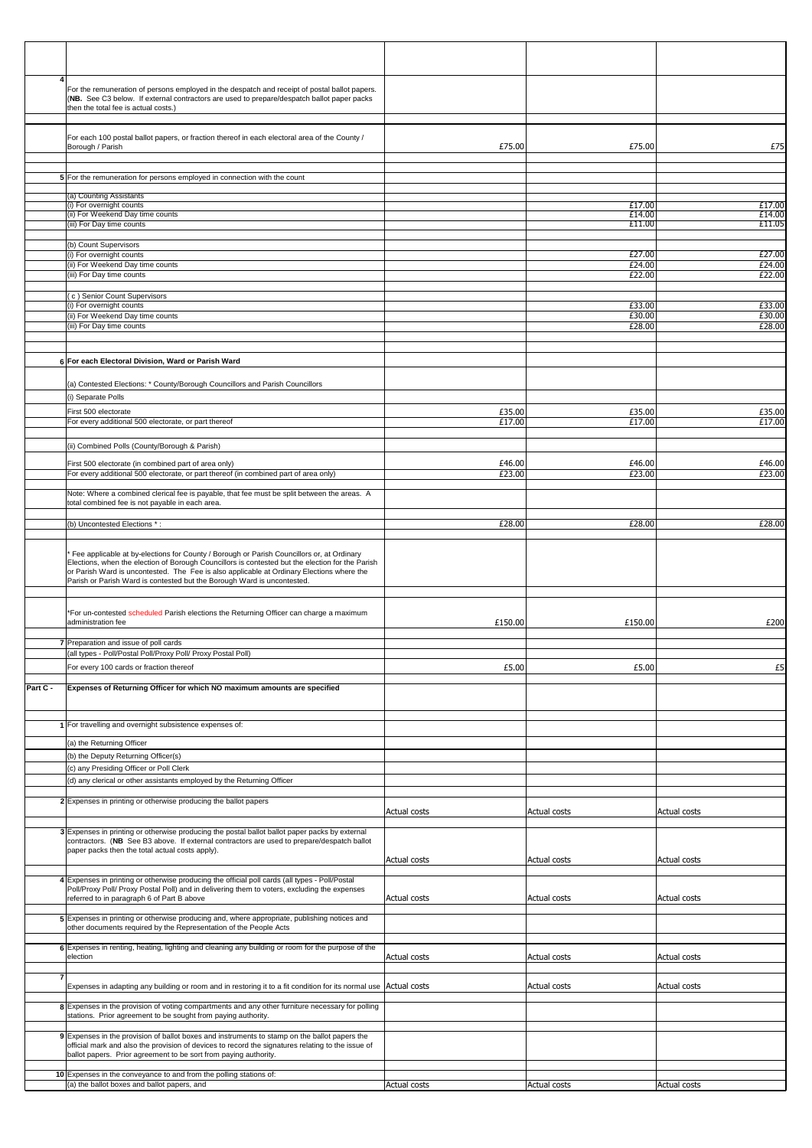|          | For the remuneration of persons employed in the despatch and receipt of postal ballot papers.<br>(NB. See C3 below. If external contractors are used to prepare/despatch ballot paper packs   |              |                  |                     |
|----------|-----------------------------------------------------------------------------------------------------------------------------------------------------------------------------------------------|--------------|------------------|---------------------|
|          | then the total fee is actual costs.)                                                                                                                                                          |              |                  |                     |
|          |                                                                                                                                                                                               |              |                  |                     |
|          | For each 100 postal ballot papers, or fraction thereof in each electoral area of the County /<br>Borough / Parish                                                                             | £75.00       | £75.00           | £75                 |
|          |                                                                                                                                                                                               |              |                  |                     |
|          | 5 For the remuneration for persons employed in connection with the count                                                                                                                      |              |                  |                     |
|          | (a) Counting Assistants                                                                                                                                                                       |              |                  |                     |
|          | (i) For overnight counts<br>(ii) For Weekend Day time counts                                                                                                                                  |              | £17.00<br>£14.00 | £17.00<br>£14.00    |
|          | (iii) For Day time counts                                                                                                                                                                     |              | £11.00           | £11.05              |
|          | (b) Count Supervisors                                                                                                                                                                         |              |                  |                     |
|          | (i) For overnight counts                                                                                                                                                                      |              | £27.00           | $E\overline{27.00}$ |
|          | (ii) For Weekend Day time counts<br>(iii) For Day time counts                                                                                                                                 |              | £24.00<br>£22.00 | £24.00<br>£22.00    |
|          |                                                                                                                                                                                               |              |                  |                     |
|          | (c) Senior Count Supervisors<br>(i) For overnight counts                                                                                                                                      |              | £33.00           | £33.00              |
|          | (ii) For Weekend Day time counts<br>(iii) For Day time counts                                                                                                                                 |              | £30.00<br>£28.00 | £30.00<br>£28.00    |
|          |                                                                                                                                                                                               |              |                  |                     |
|          |                                                                                                                                                                                               |              |                  |                     |
|          | 6 For each Electoral Division, Ward or Parish Ward                                                                                                                                            |              |                  |                     |
|          | (a) Contested Elections: * County/Borough Councillors and Parish Councillors                                                                                                                  |              |                  |                     |
|          | (i) Separate Polls                                                                                                                                                                            |              |                  |                     |
|          | First 500 electorate                                                                                                                                                                          | £35.00       | £35.00           | £35.00              |
|          | For every additional 500 electorate, or part thereof                                                                                                                                          | £17.00       | £17.00           | £17.00              |
|          | (ii) Combined Polls (County/Borough & Parish)                                                                                                                                                 |              |                  |                     |
|          | First 500 electorate (in combined part of area only)                                                                                                                                          | £46.00       | £46.00           | £46.00              |
|          | For every additional 500 electorate, or part thereof (in combined part of area only)                                                                                                          | £23.00       | £23.00           | £23.00              |
|          | Note: Where a combined clerical fee is payable, that fee must be split between the areas. A                                                                                                   |              |                  |                     |
|          | total combined fee is not payable in each area.                                                                                                                                               |              |                  |                     |
|          | (b) Uncontested Elections *:                                                                                                                                                                  | £28.00       | £28.00           | £28.00              |
|          |                                                                                                                                                                                               |              |                  |                     |
|          | Fee applicable at by-elections for County / Borough or Parish Councillors or, at Ordinary<br>Elections, when the election of Borough Councillors is contested but the election for the Parish |              |                  |                     |
|          | or Parish Ward is uncontested. The Fee is also applicable at Ordinary Elections where the                                                                                                     |              |                  |                     |
|          | Parish or Parish Ward is contested but the Borough Ward is uncontested.                                                                                                                       |              |                  |                     |
|          |                                                                                                                                                                                               |              |                  |                     |
|          | *For un-contested scheduled Parish elections the Returning Officer can charge a maximum<br>administration fee                                                                                 | £150.00      | £150.00          | £200                |
|          |                                                                                                                                                                                               |              |                  |                     |
|          | 7 Preparation and issue of poll cards<br>(all types - Poll/Postal Poll/Proxy Poll/ Proxy Postal Poll)                                                                                         |              |                  |                     |
|          | For every 100 cards or fraction thereof                                                                                                                                                       | £5.00        | £5.00            | E5                  |
| Part C - | Expenses of Returning Officer for which NO maximum amounts are specified                                                                                                                      |              |                  |                     |
|          |                                                                                                                                                                                               |              |                  |                     |
|          |                                                                                                                                                                                               |              |                  |                     |
|          | 1 For travelling and overnight subsistence expenses of:                                                                                                                                       |              |                  |                     |
|          | (a) the Returning Officer                                                                                                                                                                     |              |                  |                     |
|          | (b) the Deputy Returning Officer(s)<br>(c) any Presiding Officer or Poll Clerk                                                                                                                |              |                  |                     |
|          | (d) any clerical or other assistants employed by the Returning Officer                                                                                                                        |              |                  |                     |
|          |                                                                                                                                                                                               |              |                  |                     |
|          | 2 Expenses in printing or otherwise producing the ballot papers                                                                                                                               | Actual costs | Actual costs     | Actual costs        |
|          | 3 Expenses in printing or otherwise producing the postal ballot ballot paper packs by external                                                                                                |              |                  |                     |
|          | contractors. (NB See B3 above. If external contractors are used to prepare/despatch ballot                                                                                                    |              |                  |                     |
|          | paper packs then the total actual costs apply).                                                                                                                                               | Actual costs | Actual costs     | <b>Actual costs</b> |
|          | 4 Expenses in printing or otherwise producing the official poll cards (all types - Poll/Postal                                                                                                |              |                  |                     |
|          | Poll/Proxy Poll/ Proxy Postal Poll) and in delivering them to voters, excluding the expenses                                                                                                  |              |                  |                     |
|          | referred to in paragraph 6 of Part B above                                                                                                                                                    | Actual costs | Actual costs     | Actual costs        |
|          | 5 Expenses in printing or otherwise producing and, where appropriate, publishing notices and<br>other documents required by the Representation of the People Acts                             |              |                  |                     |
|          |                                                                                                                                                                                               |              |                  |                     |
|          | 6 Expenses in renting, heating, lighting and cleaning any building or room for the purpose of the<br>election                                                                                 | Actual costs | Actual costs     | Actual costs        |
|          |                                                                                                                                                                                               |              |                  |                     |
|          | Expenses in adapting any building or room and in restoring it to a fit condition for its normal use Actual costs                                                                              |              | Actual costs     | Actual costs        |
|          | 8 Expenses in the provision of voting compartments and any other furniture necessary for polling                                                                                              |              |                  |                     |
|          | stations. Prior agreement to be sought from paying authority.                                                                                                                                 |              |                  |                     |
|          | 9 Expenses in the provision of ballot boxes and instruments to stamp on the ballot papers the                                                                                                 |              |                  |                     |
|          | official mark and also the provision of devices to record the signatures relating to the issue of<br>ballot papers. Prior agreement to be sort from paying authority.                         |              |                  |                     |
|          |                                                                                                                                                                                               |              |                  |                     |
|          | 10 Expenses in the conveyance to and from the polling stations of:<br>(a) the ballot boxes and ballot papers, and                                                                             | Actual costs | Actual costs     | Actual costs        |